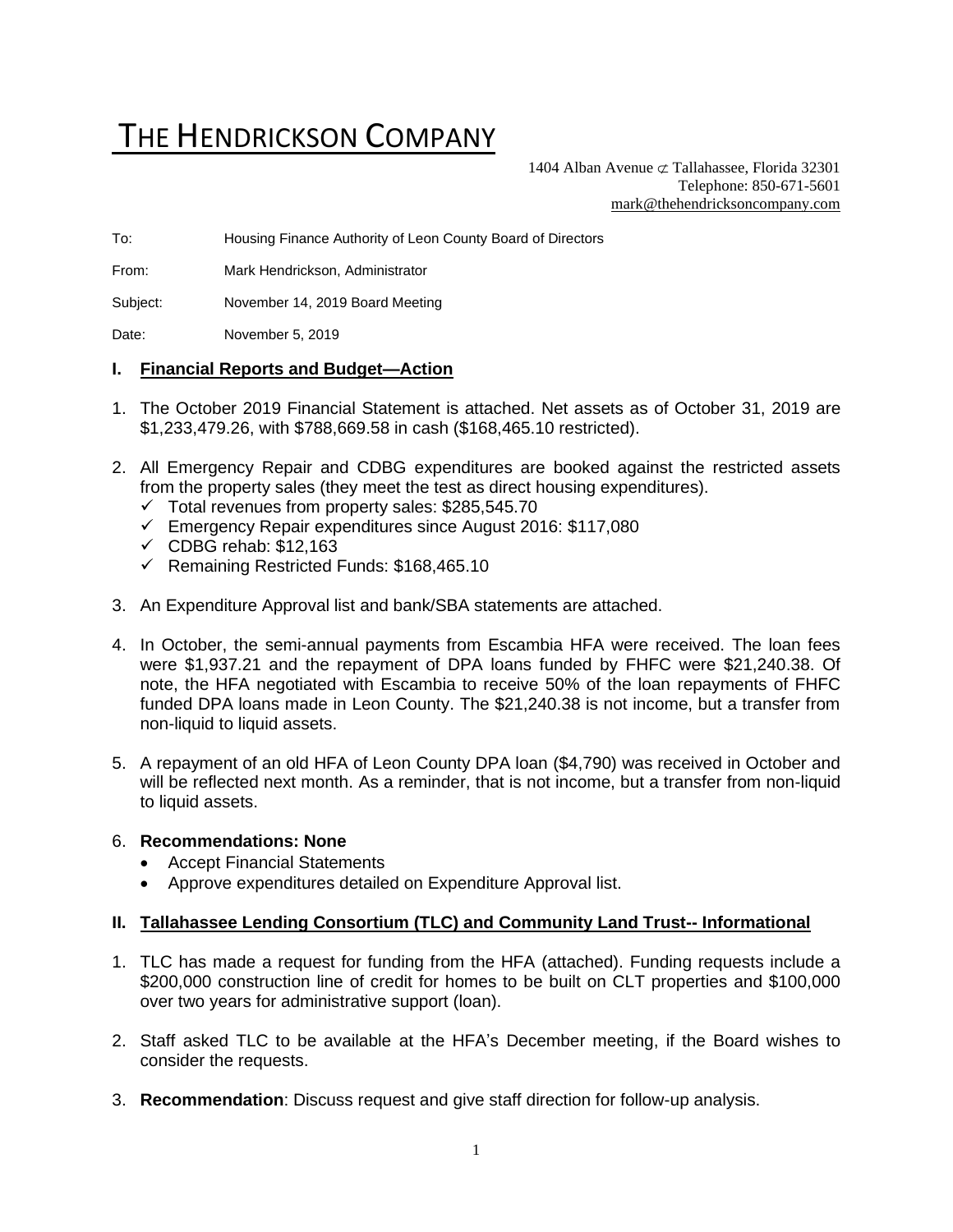# THE HENDRICKSON COMPANY

1404 Alban Avenue  $\sigma$  Tallahassee, Florida 32301 Telephone: 850-671-5601 [mark@thehendricksoncompany.com](mailto:mark@thehendricksoncompany.com)

To: Housing Finance Authority of Leon County Board of Directors

From: Mark Hendrickson, Administrator

Subject: November 14, 2019 Board Meeting

Date: November 5, 2019

#### **I. Financial Reports and Budget—Action**

- 1. The October 2019 Financial Statement is attached. Net assets as of October 31, 2019 are \$1,233,479.26, with \$788,669.58 in cash (\$168,465.10 restricted).
- 2. All Emergency Repair and CDBG expenditures are booked against the restricted assets from the property sales (they meet the test as direct housing expenditures).
	- $\checkmark$  Total revenues from property sales: \$285,545.70
	- ✓ Emergency Repair expenditures since August 2016: \$117,080
	- $\checkmark$  CDBG rehab: \$12,163
	- ✓ Remaining Restricted Funds: \$168,465.10
- 3. An Expenditure Approval list and bank/SBA statements are attached.
- 4. In October, the semi-annual payments from Escambia HFA were received. The loan fees were \$1,937.21 and the repayment of DPA loans funded by FHFC were \$21,240.38. Of note, the HFA negotiated with Escambia to receive 50% of the loan repayments of FHFC funded DPA loans made in Leon County. The \$21,240.38 is not income, but a transfer from non-liquid to liquid assets.
- 5. A repayment of an old HFA of Leon County DPA loan (\$4,790) was received in October and will be reflected next month. As a reminder, that is not income, but a transfer from non-liquid to liquid assets.

#### 6. **Recommendations: None**

- Accept Financial Statements
- Approve expenditures detailed on Expenditure Approval list.

#### **II. Tallahassee Lending Consortium (TLC) and Community Land Trust-- Informational**

- 1. TLC has made a request for funding from the HFA (attached). Funding requests include a \$200,000 construction line of credit for homes to be built on CLT properties and \$100,000 over two years for administrative support (loan).
- 2. Staff asked TLC to be available at the HFA's December meeting, if the Board wishes to consider the requests.
- 3. **Recommendation**: Discuss request and give staff direction for follow-up analysis.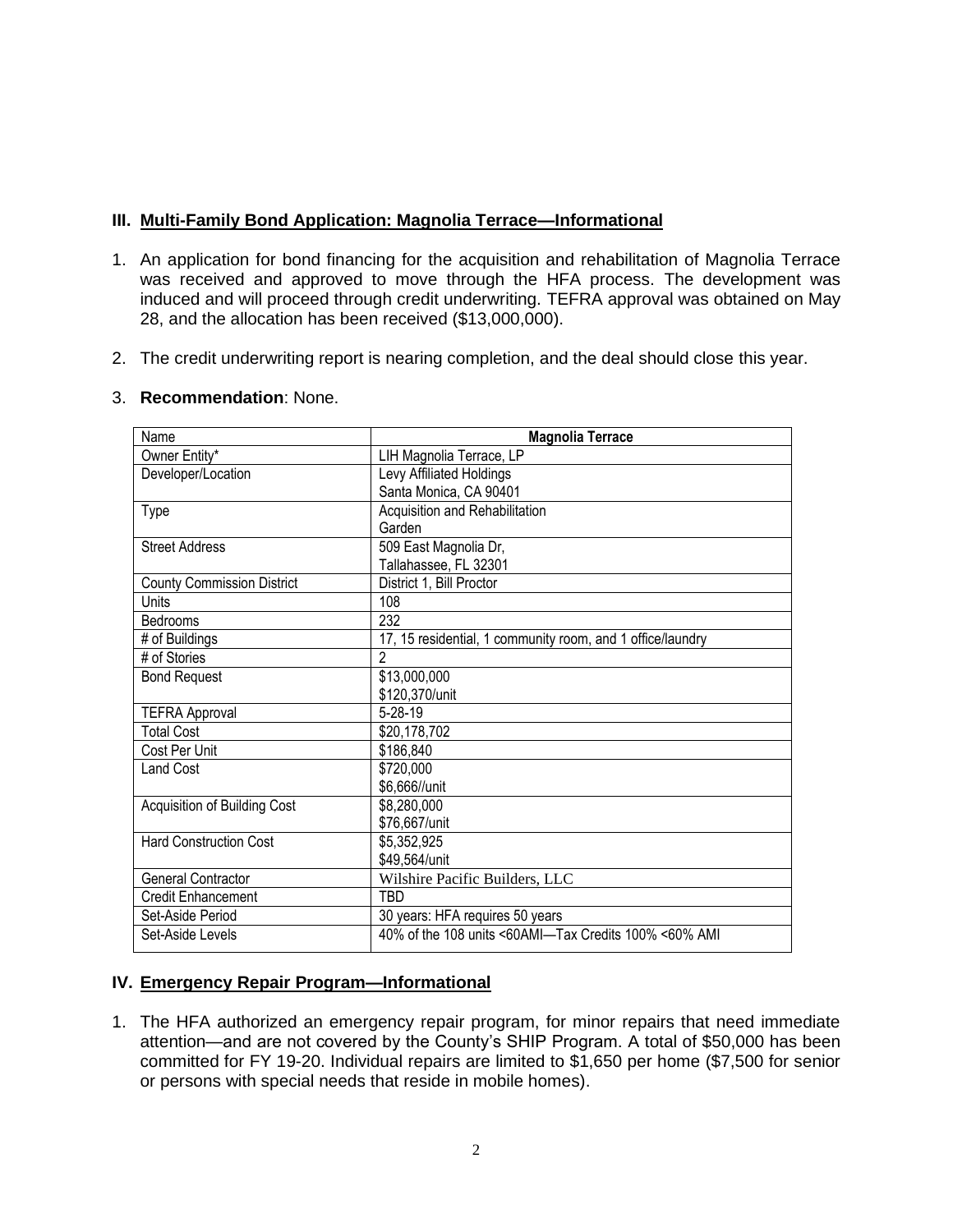### **III. Multi-Family Bond Application: Magnolia Terrace—Informational**

- 1. An application for bond financing for the acquisition and rehabilitation of Magnolia Terrace was received and approved to move through the HFA process. The development was induced and will proceed through credit underwriting. TEFRA approval was obtained on May 28, and the allocation has been received (\$13,000,000).
- 2. The credit underwriting report is nearing completion, and the deal should close this year.

#### 3. **Recommendation**: None.

| Name                              | <b>Magnolia Terrace</b>                                    |  |  |  |  |
|-----------------------------------|------------------------------------------------------------|--|--|--|--|
| Owner Entity*                     | LIH Magnolia Terrace, LP                                   |  |  |  |  |
| Developer/Location                | Levy Affiliated Holdings                                   |  |  |  |  |
|                                   | Santa Monica, CA 90401                                     |  |  |  |  |
| Type                              | Acquisition and Rehabilitation                             |  |  |  |  |
|                                   | Garden                                                     |  |  |  |  |
| <b>Street Address</b>             | 509 East Magnolia Dr,                                      |  |  |  |  |
|                                   | Tallahassee, FL 32301                                      |  |  |  |  |
| <b>County Commission District</b> | District 1, Bill Proctor                                   |  |  |  |  |
| Units                             | 108                                                        |  |  |  |  |
| Bedrooms                          | 232                                                        |  |  |  |  |
| # of Buildings                    | 17, 15 residential, 1 community room, and 1 office/laundry |  |  |  |  |
| # of Stories                      | 2                                                          |  |  |  |  |
| <b>Bond Request</b>               | \$13,000,000                                               |  |  |  |  |
|                                   | \$120,370/unit                                             |  |  |  |  |
| <b>TEFRA Approval</b>             | 5-28-19                                                    |  |  |  |  |
| <b>Total Cost</b>                 | \$20,178,702                                               |  |  |  |  |
| Cost Per Unit                     | \$186,840                                                  |  |  |  |  |
| Land Cost                         | \$720,000                                                  |  |  |  |  |
|                                   | \$6,666//unit                                              |  |  |  |  |
| Acquisition of Building Cost      | \$8,280,000                                                |  |  |  |  |
|                                   | \$76,667/unit                                              |  |  |  |  |
| <b>Hard Construction Cost</b>     | \$5,352,925                                                |  |  |  |  |
|                                   | \$49,564/unit                                              |  |  |  |  |
| General Contractor                | Wilshire Pacific Builders, LLC                             |  |  |  |  |
| <b>Credit Enhancement</b>         | TBD                                                        |  |  |  |  |
| Set-Aside Period                  | 30 years: HFA requires 50 years                            |  |  |  |  |
| Set-Aside Levels                  | 40% of the 108 units <60AMI-Tax Credits 100% <60% AMI      |  |  |  |  |
|                                   |                                                            |  |  |  |  |

### **IV. Emergency Repair Program—Informational**

1. The HFA authorized an emergency repair program, for minor repairs that need immediate attention—and are not covered by the County's SHIP Program. A total of \$50,000 has been committed for FY 19-20. Individual repairs are limited to \$1,650 per home (\$7,500 for senior or persons with special needs that reside in mobile homes).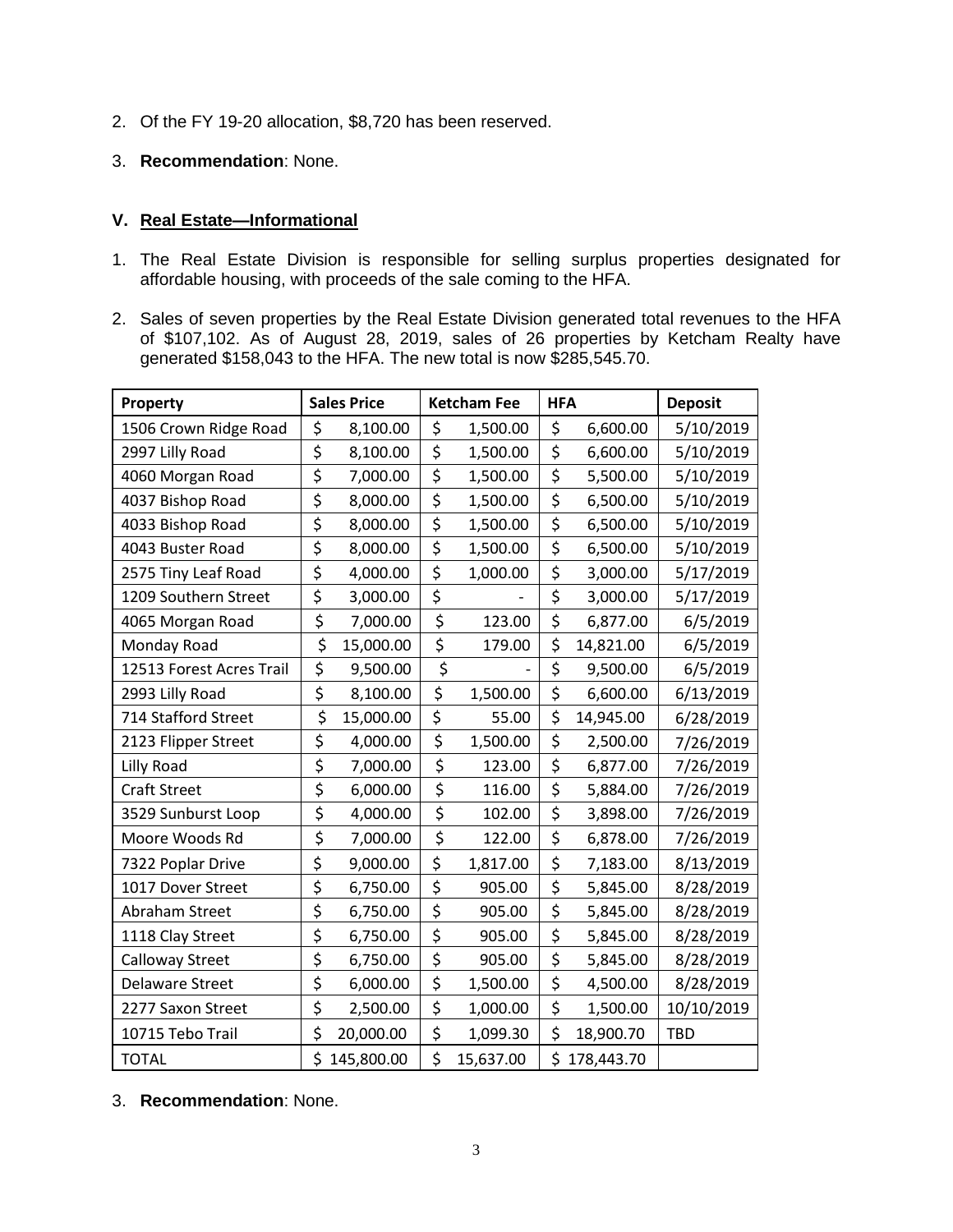- 2. Of the FY 19-20 allocation, \$8,720 has been reserved.
- 3. **Recommendation**: None.

## **V. Real Estate—Informational**

- 1. The Real Estate Division is responsible for selling surplus properties designated for affordable housing, with proceeds of the sale coming to the HFA.
- 2. Sales of seven properties by the Real Estate Division generated total revenues to the HFA of \$107,102. As of August 28, 2019, sales of 26 properties by Ketcham Realty have generated \$158,043 to the HFA. The new total is now \$285,545.70.

| Property                 | <b>Sales Price</b>              |            | <b>Ketcham Fee</b> | <b>HFA</b>       |            | <b>Deposit</b> |
|--------------------------|---------------------------------|------------|--------------------|------------------|------------|----------------|
| 1506 Crown Ridge Road    | \$                              | 8,100.00   | \$<br>1,500.00     | \$               | 6,600.00   | 5/10/2019      |
| 2997 Lilly Road          | \$                              | 8,100.00   | \$<br>1,500.00     | \$               | 6,600.00   | 5/10/2019      |
| 4060 Morgan Road         | \$                              | 7,000.00   | \$<br>1,500.00     | \$               | 5,500.00   | 5/10/2019      |
| 4037 Bishop Road         | \$                              | 8,000.00   | \$<br>1,500.00     | \$               | 6,500.00   | 5/10/2019      |
| 4033 Bishop Road         | \$                              | 8,000.00   | \$<br>1,500.00     | $\overline{\xi}$ | 6,500.00   | 5/10/2019      |
| 4043 Buster Road         | \$                              | 8,000.00   | \$<br>1,500.00     | \$               | 6,500.00   | 5/10/2019      |
| 2575 Tiny Leaf Road      | \$                              | 4,000.00   | \$<br>1,000.00     | \$               | 3,000.00   | 5/17/2019      |
| 1209 Southern Street     | \$                              | 3,000.00   | \$                 | \$               | 3,000.00   | 5/17/2019      |
| 4065 Morgan Road         | \$                              | 7,000.00   | \$<br>123.00       | \$               | 6,877.00   | 6/5/2019       |
| Monday Road              | \$                              | 15,000.00  | \$<br>179.00       | \$               | 14,821.00  | 6/5/2019       |
| 12513 Forest Acres Trail | \$                              | 9,500.00   | \$                 | \$               | 9,500.00   | 6/5/2019       |
| 2993 Lilly Road          | $\overline{\xi}$                | 8,100.00   | \$<br>1,500.00     | $\overline{\xi}$ | 6,600.00   | 6/13/2019      |
| 714 Stafford Street      | \$                              | 15,000.00  | \$<br>55.00        | \$               | 14,945.00  | 6/28/2019      |
| 2123 Flipper Street      | \$                              | 4,000.00   | \$<br>1,500.00     | \$               | 2,500.00   | 7/26/2019      |
| Lilly Road               | \$                              | 7,000.00   | \$<br>123.00       | \$               | 6,877.00   | 7/26/2019      |
| <b>Craft Street</b>      | \$                              | 6,000.00   | \$<br>116.00       | \$               | 5,884.00   | 7/26/2019      |
| 3529 Sunburst Loop       | \$                              | 4,000.00   | \$<br>102.00       | \$               | 3,898.00   | 7/26/2019      |
| Moore Woods Rd           | $\overline{\boldsymbol{\zeta}}$ | 7,000.00   | \$<br>122.00       | $\overline{\xi}$ | 6,878.00   | 7/26/2019      |
| 7322 Poplar Drive        | \$                              | 9,000.00   | \$<br>1,817.00     | \$               | 7,183.00   | 8/13/2019      |
| 1017 Dover Street        | \$                              | 6,750.00   | \$<br>905.00       | \$               | 5,845.00   | 8/28/2019      |
| Abraham Street           | \$                              | 6,750.00   | \$<br>905.00       | \$               | 5,845.00   | 8/28/2019      |
| 1118 Clay Street         | \$                              | 6,750.00   | \$<br>905.00       | \$               | 5,845.00   | 8/28/2019      |
| <b>Calloway Street</b>   | \$                              | 6,750.00   | \$<br>905.00       | \$               | 5,845.00   | 8/28/2019      |
| <b>Delaware Street</b>   | \$                              | 6,000.00   | \$<br>1,500.00     | \$               | 4,500.00   | 8/28/2019      |
| 2277 Saxon Street        | \$                              | 2,500.00   | \$<br>1,000.00     | \$               | 1,500.00   | 10/10/2019     |
| 10715 Tebo Trail         | \$                              | 20,000.00  | \$<br>1,099.30     | \$               | 18,900.70  | <b>TBD</b>     |
| <b>TOTAL</b>             | \$.                             | 145,800.00 | \$<br>15,637.00    | \$               | 178,443.70 |                |

3. **Recommendation**: None.